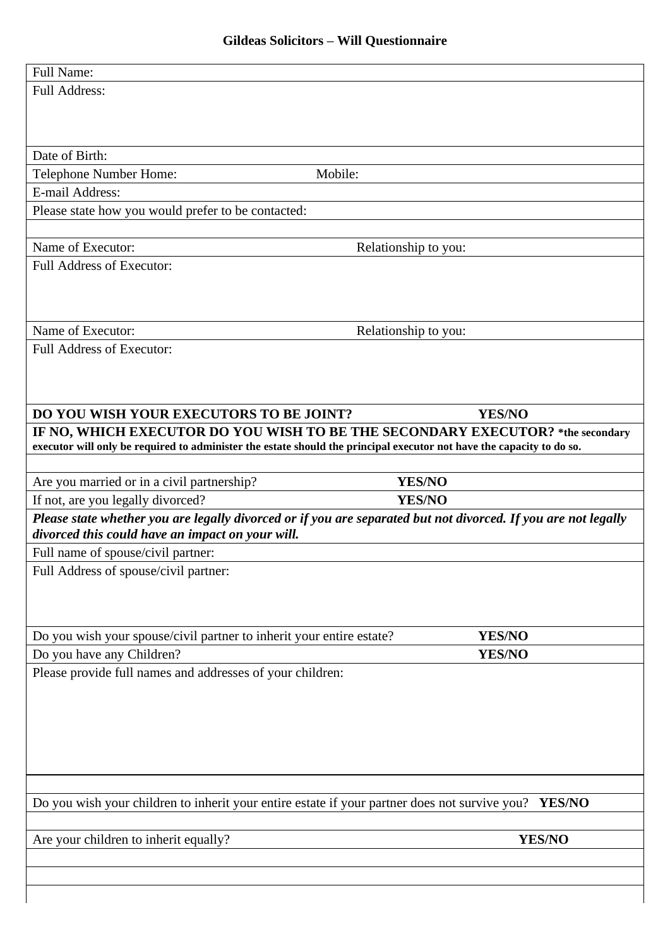| Date of Birth:                                                       |                                                                                                                       |
|----------------------------------------------------------------------|-----------------------------------------------------------------------------------------------------------------------|
| Telephone Number Home:                                               | Mobile:                                                                                                               |
| E-mail Address:                                                      |                                                                                                                       |
| Please state how you would prefer to be contacted:                   |                                                                                                                       |
| Name of Executor:                                                    | Relationship to you:                                                                                                  |
| <b>Full Address of Executor:</b>                                     |                                                                                                                       |
|                                                                      |                                                                                                                       |
|                                                                      |                                                                                                                       |
| Name of Executor:                                                    | Relationship to you:                                                                                                  |
| <b>Full Address of Executor:</b>                                     |                                                                                                                       |
|                                                                      |                                                                                                                       |
|                                                                      |                                                                                                                       |
| DO YOU WISH YOUR EXECUTORS TO BE JOINT?                              | <b>YES/NO</b>                                                                                                         |
|                                                                      | IF NO, WHICH EXECUTOR DO YOU WISH TO BE THE SECONDARY EXECUTOR? *the secondary                                        |
|                                                                      | executor will only be required to administer the estate should the principal executor not have the capacity to do so. |
|                                                                      |                                                                                                                       |
|                                                                      |                                                                                                                       |
| Are you married or in a civil partnership?                           | <b>YES/NO</b>                                                                                                         |
| If not, are you legally divorced?                                    | <b>YES/NO</b>                                                                                                         |
|                                                                      | Please state whether you are legally divorced or if you are separated but not divorced. If you are not legally        |
| divorced this could have an impact on your will.                     |                                                                                                                       |
| Full name of spouse/civil partner:                                   |                                                                                                                       |
| Full Address of spouse/civil partner:                                |                                                                                                                       |
|                                                                      |                                                                                                                       |
|                                                                      |                                                                                                                       |
| Do you wish your spouse/civil partner to inherit your entire estate? | YES/NO                                                                                                                |
| Do you have any Children?                                            | <b>YES/NO</b>                                                                                                         |
| Please provide full names and addresses of your children:            |                                                                                                                       |
|                                                                      |                                                                                                                       |
|                                                                      |                                                                                                                       |
|                                                                      |                                                                                                                       |
|                                                                      |                                                                                                                       |
|                                                                      |                                                                                                                       |
|                                                                      |                                                                                                                       |
|                                                                      | Do you wish your children to inherit your entire estate if your partner does not survive you? YES/NO                  |
| Are your children to inherit equally?                                | YES/NO                                                                                                                |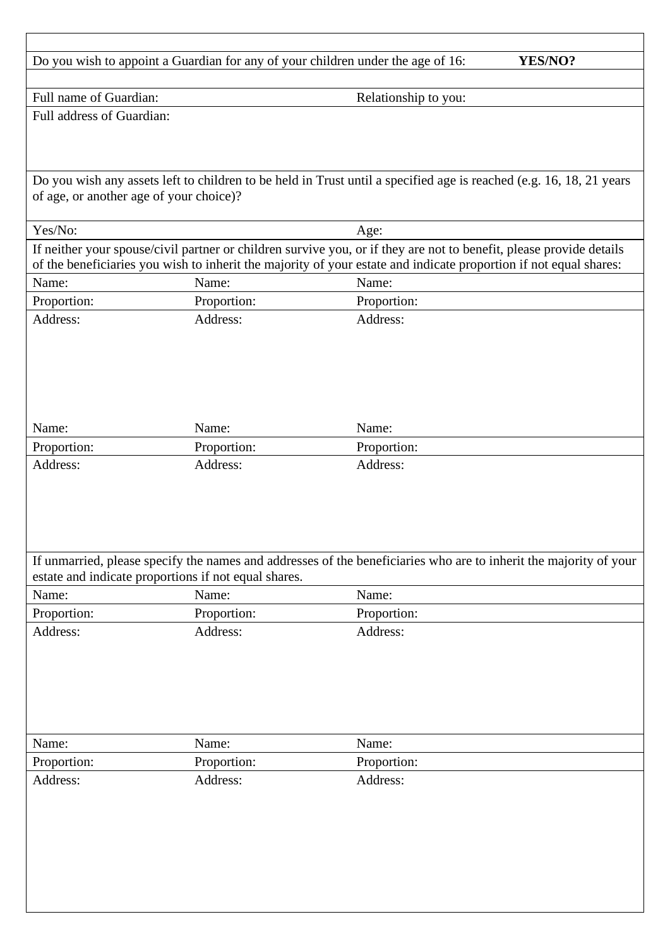| Do you wish to appoint a Guardian for any of your children under the age of 16:<br>YES/NO? |                                                      |                                                                                                                                                                                                                                          |  |
|--------------------------------------------------------------------------------------------|------------------------------------------------------|------------------------------------------------------------------------------------------------------------------------------------------------------------------------------------------------------------------------------------------|--|
| Full name of Guardian:                                                                     |                                                      | Relationship to you:                                                                                                                                                                                                                     |  |
| Full address of Guardian:                                                                  |                                                      |                                                                                                                                                                                                                                          |  |
| of age, or another age of your choice)?                                                    |                                                      | Do you wish any assets left to children to be held in Trust until a specified age is reached (e.g. 16, 18, 21 years                                                                                                                      |  |
| Yes/No:                                                                                    |                                                      | Age:                                                                                                                                                                                                                                     |  |
|                                                                                            |                                                      | If neither your spouse/civil partner or children survive you, or if they are not to benefit, please provide details<br>of the beneficiaries you wish to inherit the majority of your estate and indicate proportion if not equal shares: |  |
| Name:                                                                                      | Name:                                                | Name:                                                                                                                                                                                                                                    |  |
| Proportion:                                                                                | Proportion:                                          | Proportion:                                                                                                                                                                                                                              |  |
| Address:                                                                                   | Address:                                             | Address:                                                                                                                                                                                                                                 |  |
| Name:                                                                                      | Name:                                                | Name:                                                                                                                                                                                                                                    |  |
|                                                                                            |                                                      |                                                                                                                                                                                                                                          |  |
| Proportion:<br>Address:                                                                    | Proportion:<br>Address:                              | Proportion:<br>Address:                                                                                                                                                                                                                  |  |
|                                                                                            |                                                      | If unmarried, please specify the names and addresses of the beneficiaries who are to inherit the majority of your                                                                                                                        |  |
|                                                                                            | estate and indicate proportions if not equal shares. |                                                                                                                                                                                                                                          |  |
| Name:                                                                                      | Name:                                                | Name:                                                                                                                                                                                                                                    |  |
| Proportion:                                                                                | Proportion:                                          | Proportion:                                                                                                                                                                                                                              |  |
| Address:                                                                                   | Address:                                             | Address:                                                                                                                                                                                                                                 |  |
|                                                                                            |                                                      |                                                                                                                                                                                                                                          |  |
| Name:                                                                                      | Name:                                                | Name:                                                                                                                                                                                                                                    |  |
| Proportion:                                                                                | Proportion:                                          | Proportion:                                                                                                                                                                                                                              |  |
|                                                                                            | Address:                                             | Address:                                                                                                                                                                                                                                 |  |
| Address:                                                                                   |                                                      |                                                                                                                                                                                                                                          |  |
|                                                                                            |                                                      |                                                                                                                                                                                                                                          |  |
|                                                                                            |                                                      |                                                                                                                                                                                                                                          |  |